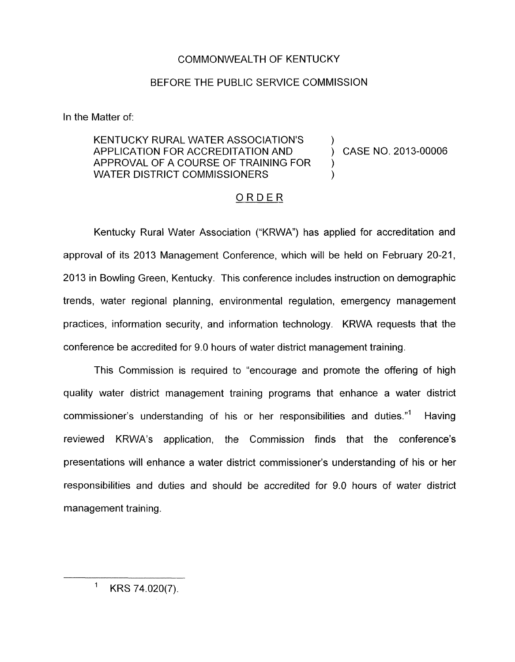## COMMONWEALTH OF KENTUCKY

## BEFORE THE PUBLIC SERVICE COMMISSION

In the Matter of:

## KENTUCKY RURAL WATER ASSOCIATION'S APPLICATION FOR ACCREDITATION AND ) CASE NO. 2013-00006 APPROVAL OF A COURSE OF TRAINING FOR ) WATER DISTRICT COMMISSIONERS

## ORDER

Kentucky Rural Water Association ("KRWA") has applied for accreditation and approval of its 2013 Management Conference, which will be held on February 20-21, 2013 in Bowling Green, Kentucky. This conference includes instruction on demographic trends, water regional planning, environmental regulation, emergency management practices, information security, and information technology. KRWA requests that the conference be accredited for 9.0 hours of water district management training.

This Commission is required to "encourage and promote the offering of high quality water district management training programs that enhance a water district commissioner's understanding of his or her responsibilities and duties."' Having reviewed KRWA's application, the Commission finds that the conference's presentations will enhance a water district commissioner's understanding of his or her responsibilities and duties and should be accredited for 9.0 hours of water district management training.

 $1$  KRS 74.020(7).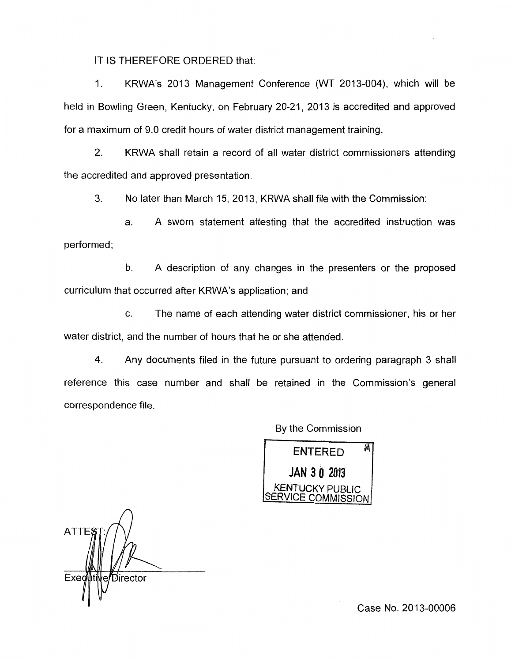IT IS THEREFORE ORDERED that:

1. KRWA's 2013 Management Conference (WT 2013-004), which will be held in Bowling Green, Kentucky, on February 20-21, 2013 is accredited and approved for a maximum of 9.0 credit hours of water district management training.

2. KRWA shall retain a record of all water district commissioners attending the accredited and approved presentation.

3. No later than March 15, 2013, KRWA shall file with the Commission:

a. A sworn statement attesting that the accredited instruction was performed;

b. A description of any changes in the presenters or the proposed curriculum that occurred after KRWA's application; and

c. The name of each attending water district commissioner, his or her water district, and the number of hours that he or she attended

**4.** Any documents filed in the future pursuant to ordering paragraph 3 shall reference this case number and shall be retained in the Commission's general correspondence file.

By the Commission

州 **ENTERED** JAN 3 0 2013 KENTUCKY PUBLIC COMMISSION

*n*  **ATTE** *D*irector **Exed**